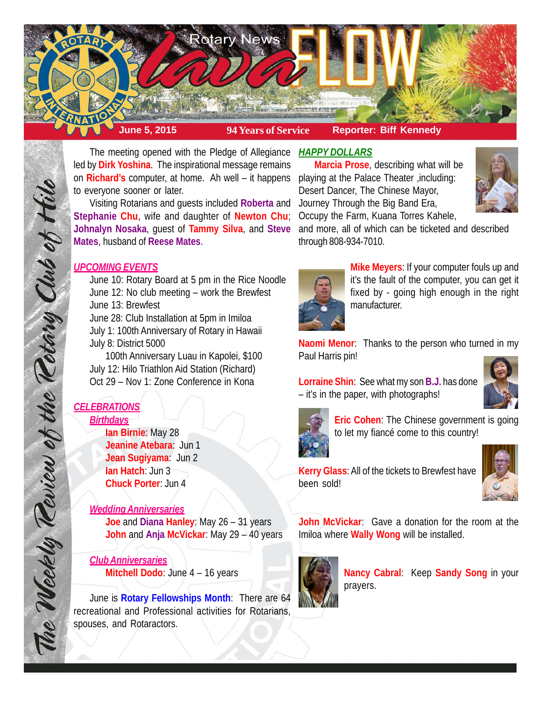

The meeting opened with the Pledge of Allegiance *HAPPY DOLLARS* led by **Dirk Yoshina**. The inspirational message remains on **Richard's** computer, at home. Ah well – it happens playing at the Palace Theater ,including: to everyone sooner or later.

Visiting Rotarians and guests included **Roberta** and **Stephanie Chu**, wife and daughter of **Newton Chu**; **Johnalyn Nosaka**, guest of **Tammy Silva**, and **Steve Mates**, husband of **Reese Mates**.

# *UPCOMING EVENTS*

June 10: Rotary Board at 5 pm in the Rice Noodle June 12: No club meeting – work the Brewfest June 13: Brewfest

June 28: Club Installation at 5pm in Imiloa

July 1: 100th Anniversary of Rotary in Hawaii July 8: District 5000

100th Anniversary Luau in Kapolei, \$100 July 12: Hilo Triathlon Aid Station (Richard) Oct 29 – Nov 1: Zone Conference in Kona

# *CELEBRATIONS Birthdays*

The Weekly Review of the Retary Club of this

**Ian Birnie**: May 28 **Jeanine Atebara**: Jun 1 **Jean Sugiyama**: Jun 2 **Ian Hatch**: Jun 3 **Chuck Porter**: Jun 4

# *Wedding Anniversaries*

**Joe** and **Diana Hanley**: May 26 – 31 years **John** and **Anja McVickar**: May 29 – 40 years

*Club Anniversaries* **Mitchell Dodo**: June 4 – 16 years

June is **Rotary Fellowships Month**: There are 64 recreational and Professional activities for Rotarians, spouses, and Rotaractors.

**Marcia Prose**, describing what will be Desert Dancer, The Chinese Mayor, Journey Through the Big Band Era, Occupy the Farm, Kuana Torres Kahele,



and more, all of which can be ticketed and described through 808-934-7010.



**Mike Meyers**: If your computer fouls up and it's the fault of the computer, you can get it fixed by - going high enough in the right manufacturer.

**Naomi Menor**: Thanks to the person who turned in my Paul Harris pin!

**Lorraine Shin**: See what my son **B.J.** has done – it's in the paper, with photographs!





**Eric Cohen**: The Chinese government is going to let my fiancé come to this country!

**Kerry Glass**: All of the tickets to Brewfest have been sold!



**John McVickar**: Gave a donation for the room at the Imiloa where **Wally Wong** will be installed.



**Nancy Cabral**: Keep **Sandy Song** in your prayers.